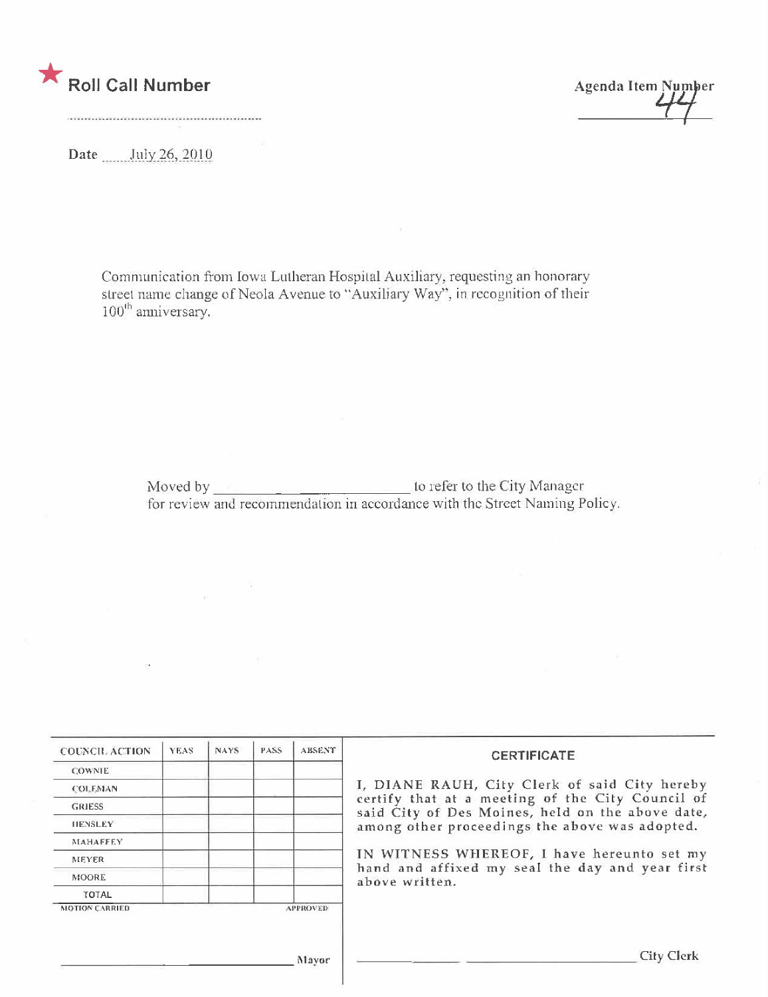

**Agenda Item Number** 

Date July 26, 2010

Communication from Iowa Lutheran Hospital Auxiliary, requesting an honorary street name change of Neola Avenue to "Auxiliary Way", in recognition of their  $100$ <sup>th</sup> anniversary.

| <b>COUNCIL ACTION</b> | <b>YEAS</b> | NAYS. | PASS. | <b>ABSENT</b>   | <b>CERTIFICATE</b>                                                                                                                                     |
|-----------------------|-------------|-------|-------|-----------------|--------------------------------------------------------------------------------------------------------------------------------------------------------|
| <b>COWNIE</b>         |             |       |       |                 |                                                                                                                                                        |
| <b>COLEMAN</b>        |             |       |       |                 | I, DIANE RAUH, City Clerk of said City hereby                                                                                                          |
| <b>GRIESS</b>         |             |       |       |                 | certify that at a meeting of the City Council of<br>said City of Des Moines, held on the above date,<br>among other proceedings the above was adopted. |
| <b>HENSLEY</b>        |             |       |       |                 |                                                                                                                                                        |
| <b>MAHAFFEY</b>       |             |       |       |                 |                                                                                                                                                        |
| <b>MEYER</b>          |             |       |       |                 | IN WITNESS WHEREOF, I have hereunto set my                                                                                                             |
| MOORE                 |             |       |       |                 | hand and affixed my seal the day and year first<br>above written.                                                                                      |
| TOTAL                 |             |       |       |                 |                                                                                                                                                        |
| <b>MOTION CARRIED</b> |             |       |       | <b>APPROVED</b> |                                                                                                                                                        |
|                       |             |       |       |                 |                                                                                                                                                        |
|                       |             |       |       |                 | <b>City Clerk</b>                                                                                                                                      |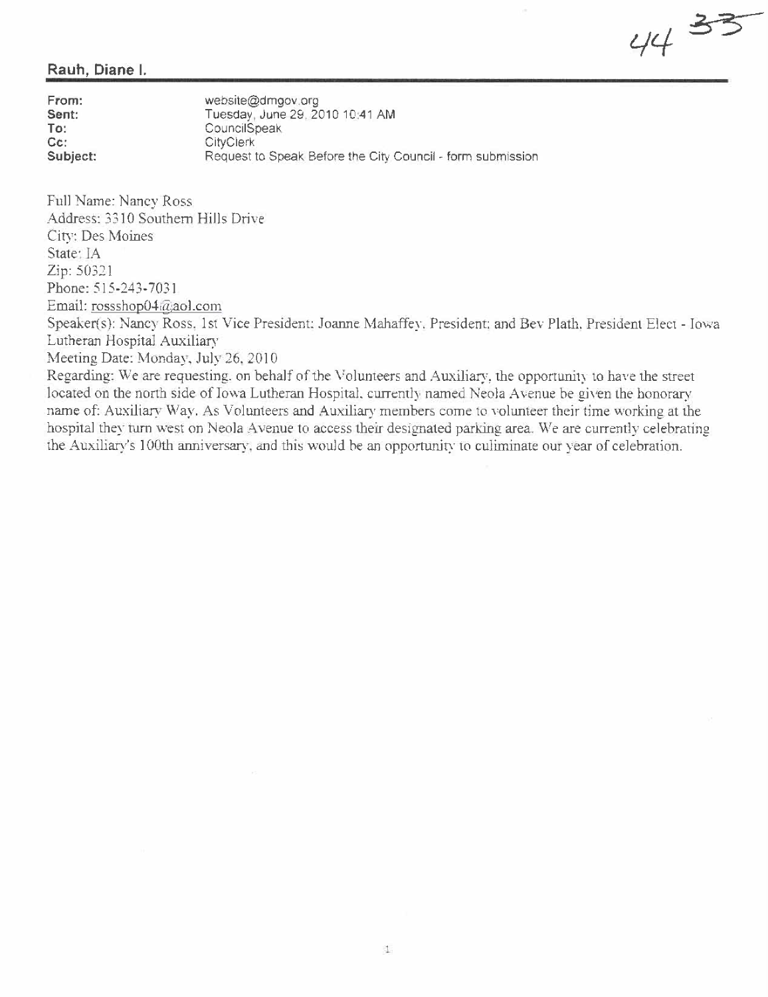44 33

## Rauh, Diane i.

| From:    | website@dmgov.org                                          |
|----------|------------------------------------------------------------|
| Sent:    | Tuesday, June 29, 2010 10:41 AM                            |
| To:      | CouncilSpeak                                               |
| Cc:      | <b>CityClerk</b>                                           |
| Subject: | Request to Speak Before the City Council - form submission |

Full Name: Nancy Ross Address: 3310 Southern Hills Driw. City: Des Moines State: IA Zip: 50321 Phone: 515-243-7031 Email: rossshop04@aol.com Speaker(s): Nancy Ross. 1st Vice President: Joanne Mahaffey. President: and Bey Plath. President Elect - Iowa Lutheran Hospital Auxiliary

Meeting Date: Monday, July 26, 2010

Regarding: We are requesting, on behalf of the Volunteers and Auxiliary, the opportunity to have the street located on the north side of Iowa Lutheran Hospital, currently named Neola Avenue be given the honorary name of: Auxiliary Way. As Volunteers and Auxiliary members come to volunteer their time working at the hospital they turn west on Neola Avenue to access their designated parking area. We are currently celebrating the Auxiliary's 100th anniversary, and this would be an opportunity to culiminate our year of celebration.